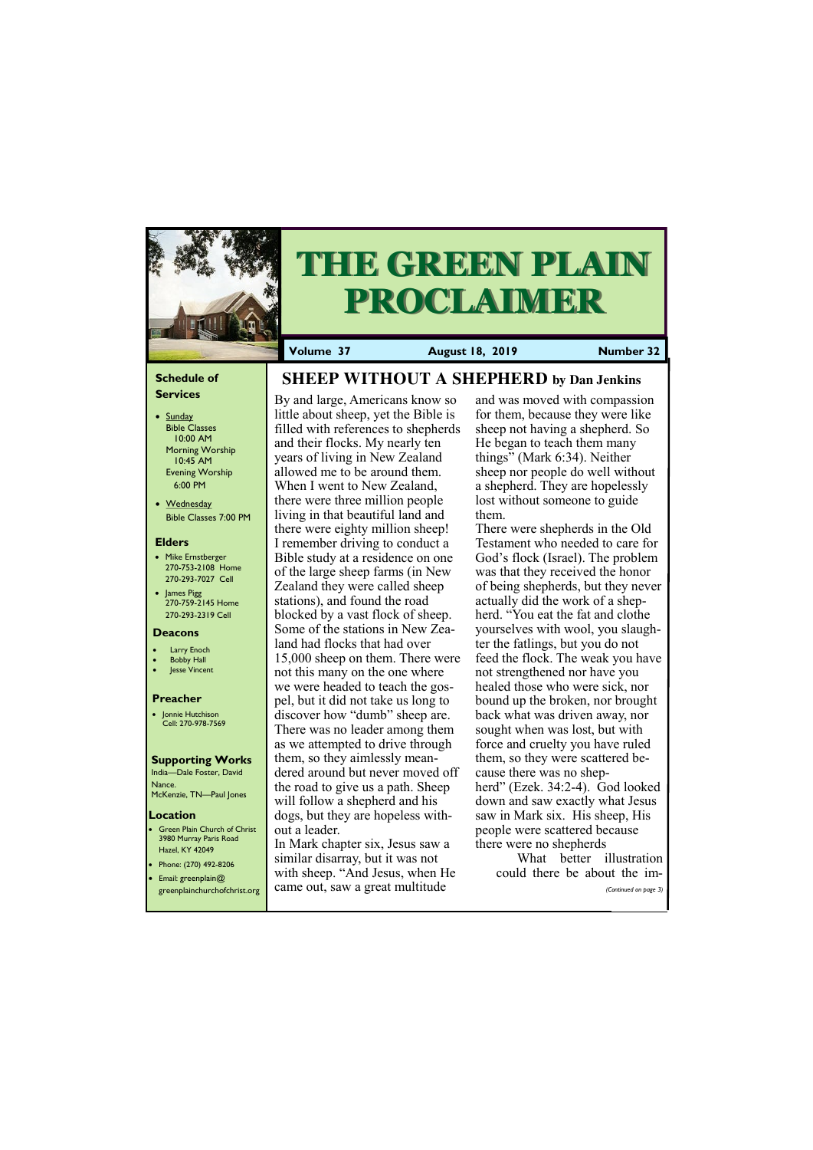#### **Schedule of Services**

- Sunday Bible Classes 10:00 AM Morning Worship 10:45 AM Evening Worship 6:00 PM
- Wednesday Bible Classes 7:00 PM

#### **Elders**

**Green Plain Church of Christ** 3980 Murray Paris Road Hazel, KY 42049 • Phone: (270) 492-8206

- Mike Ernstberger 270-753-2108 Home 270-293-7027 Cell
- James Pigg 270-759-2145 Home 270-293-2319 Cell

- **Larry Enoch**
- **Bobby Hall**
- Jesse Vincent

#### **Location**



# **THE GREEN PLAIN PROCLAIMER**

**Volume 37 August 18, 2019 Number 32**

#### **Deacons**

#### **Preacher**

• Jonnie Hutchison Cell: 270-978-7569

#### **Supporting Works**

India—Dale Foster, David Nance. McKenzie, TN—Paul Jones

# **SHEEP WITHOUT A SHEPHERD by Dan Jenkins**

By and large, Americans know so little about sheep, yet the Bible is filled with references to shepherds and their flocks. My nearly ten years of living in New Zealand allowed me to be around them. When I went to New Zealand, there were three million people living in that beautiful land and there were eighty million sheep! I remember driving to conduct a Bible study at a residence on one of the large sheep farms (in New Zealand they were called sheep stations), and found the road blocked by a vast flock of sheep. Some of the stations in New Zealand had flocks that had over 15,000 sheep on them. There were not this many on the one where we were headed to teach the gospel, but it did not take us long to discover how "dumb" sheep are. There was no leader among them as we attempted to drive through them, so they aimlessly meandered around but never moved off the road to give us a path. Sheep will follow a shepherd and his dogs, but they are hopeless without a leader.

| Email: greenplain $@$        | with sheep. "And Jesus, when He | could there be about the im- |
|------------------------------|---------------------------------|------------------------------|
| greenplainchurchofchrist.org | came out, saw a great multitude | (Continued on page 3)        |
|                              |                                 |                              |

In Mark chapter six, Jesus saw a similar disarray, but it was not

and was moved with compassion for them, because they were like sheep not having a shepherd. So He began to teach them many things" (Mark 6:34). Neither sheep nor people do well without a shepherd. They are hopelessly lost without someone to guide them.

There were shepherds in the Old Testament who needed to care for God's flock (Israel). The problem was that they received the honor of being shepherds, but they never actually did the work of a shepherd. "You eat the fat and clothe yourselves with wool, you slaughter the fatlings, but you do not feed the flock. The weak you have not strengthened nor have you healed those who were sick, nor bound up the broken, nor brought back what was driven away, nor sought when was lost, but with force and cruelty you have ruled them, so they were scattered because there was no shepherd" (Ezek. 34:2-4). God looked down and saw exactly what Jesus saw in Mark six. His sheep, His people were scattered because there were no shepherds

What better illustration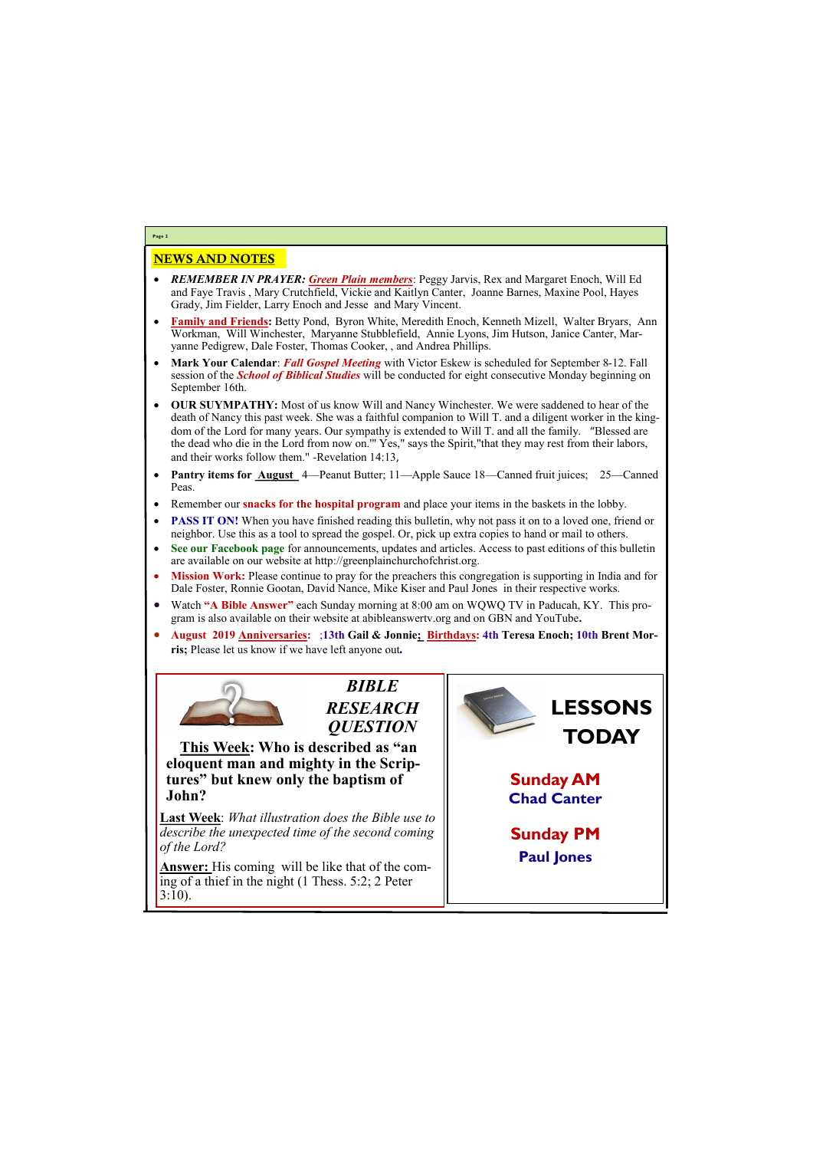# NEWS AND NOTES

- *REMEMBER IN PRAYER: Green Plain members*: Peggy Jarvis, Rex and Margaret Enoch, Will Ed and Faye Travis , Mary Crutchfield, Vickie and Kaitlyn Canter, Joanne Barnes, Maxine Pool, Hayes Grady, Jim Fielder, Larry Enoch and Jesse and Mary Vincent.
- **Family and Friends:** Betty Pond, Byron White, Meredith Enoch, Kenneth Mizell, Walter Bryars, Ann Workman, Will Winchester, Maryanne Stubblefield, Annie Lyons, Jim Hutson, Janice Canter, Maryanne Pedigrew, Dale Foster, Thomas Cooker, , and Andrea Phillips.
- **Mark Your Calendar**: *Fall Gospel Meeting* with Victor Eskew is scheduled for September 8-12. Fall session of the *School of Biblical Studies* will be conducted for eight consecutive Monday beginning on September 16th.
- **OUR SUYMPATHY:** Most of us know Will and Nancy Winchester. We were saddened to hear of the death of Nancy this past week. She was a faithful companion to Will T. and a diligent worker in the kingdom of the Lord for many years. Our sympathy is extended to Will T. and all the family. "Blessed are the dead who die in the Lord from now on.'" Yes," says the Spirit,"that they may rest from their labors, and their works follow them." -Revelation 14:13,
- **Pantry items for <u>August</u>** 4—Peanut Butter; 11—Apple Sauce 18—Canned fruit juices; 25—Canned Peas.
- Remember our **snacks for the hospital program** and place your items in the baskets in the lobby.
- **PASS IT ON!** When you have finished reading this bulletin, why not pass it on to a loved one, friend or neighbor. Use this as a tool to spread the gospel. Or, pick up extra copies to hand or mail to others.
- **See our Facebook page** for announcements, updates and articles. Access to past editions of this bulletin are available on our website at http://greenplainchurchofchrist.org.
- **Mission Work:** Please continue to pray for the preachers this congregation is supporting in India and for Dale Foster, Ronnie Gootan, David Nance, Mike Kiser and Paul Jones in their respective works.
- Watch **"A Bible Answer"** each Sunday morning at 8:00 am on WQWQ TV in Paducah, KY. This program is also available on their website at abibleanswertv.org and on GBN and YouTube**.**
- **August 2019 Anniversaries:** ;**13th Gail & Jonnie; Birthdays: 4th Teresa Enoch; 10th Brent Morris;** Please let us know if we have left anyone out*.*



**Page 2**

*BIBLE RESEARCH QUESTION*

**This Week: Who is described as "an eloquent man and mighty in the Scriptures" but knew only the baptism of John?**

**Last Week**: *What illustration does the Bible use to describe the unexpected time of the second coming of the Lord?* 

**nswer:** His coming will be like that of the com-

| $\mu$ and $\mu$ of a line committee. While the dimensional contract $\mu$<br>$\ln$ ing of a thief in the night (1 Thess. 5:2; 2 Peter |  |
|---------------------------------------------------------------------------------------------------------------------------------------|--|
|---------------------------------------------------------------------------------------------------------------------------------------|--|

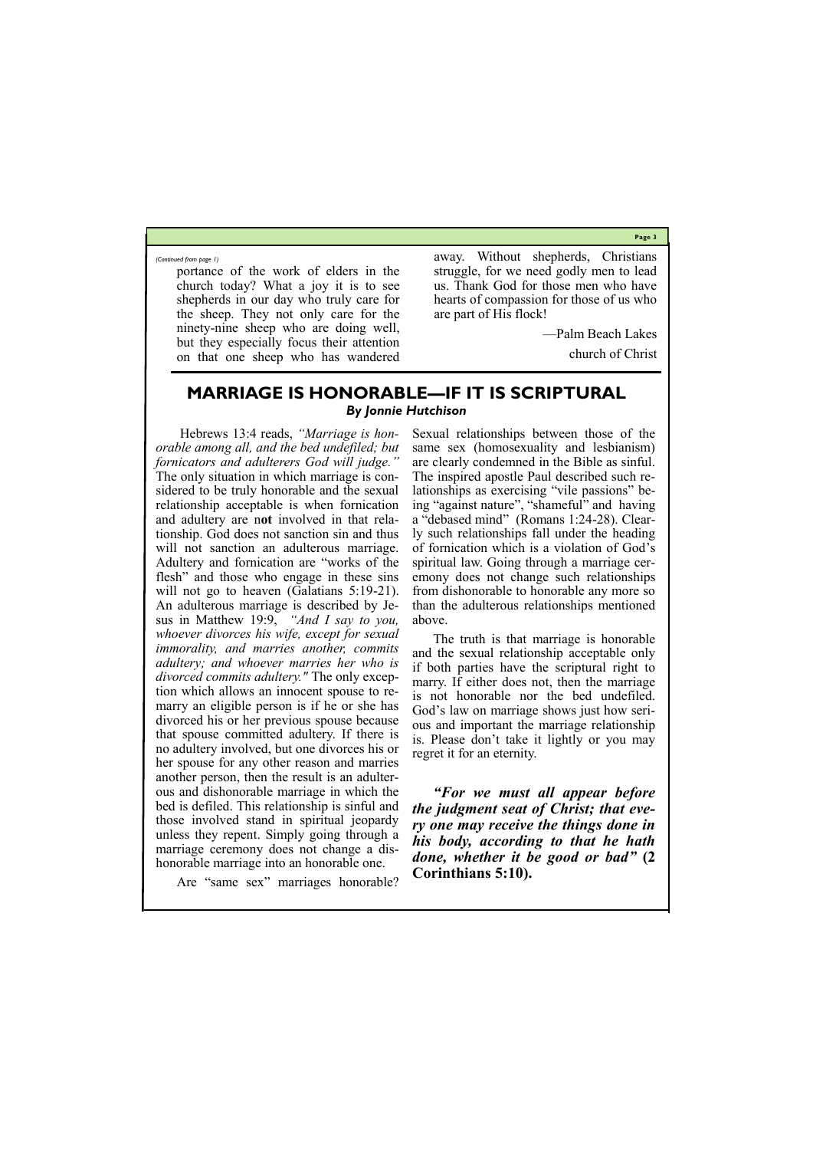**Page 3**

portance of the work of elders in the church today? What a joy it is to see shepherds in our day who truly care for the sheep. They not only care for the ninety-nine sheep who are doing well, but they especially focus their attention on that one sheep who has wandered away. Without shepherds, Christians struggle, for we need godly men to lead us. Thank God for those men who have hearts of compassion for those of us who are part of His flock!

—Palm Beach Lakes

church of Christ

*(Continued from page 1)*

### **MARRIAGE IS HONORABLE—IF IT IS SCRIPTURAL** *By Jonnie Hutchison*

Hebrews 13:4 reads, *"Marriage is honorable among all, and the bed undefiled; but fornicators and adulterers God will judge."* The only situation in which marriage is considered to be truly honorable and the sexual relationship acceptable is when fornication and adultery are n**ot** involved in that relationship. God does not sanction sin and thus will not sanction an adulterous marriage. Adultery and fornication are "works of the flesh" and those who engage in these sins will not go to heaven (Galatians 5:19-21). An adulterous marriage is described by Jesus in Matthew 19:9, *"And I say to you, whoever divorces his wife, except for sexual immorality, and marries another, commits adultery; and whoever marries her who is divorced commits adultery."* The only exception which allows an innocent spouse to remarry an eligible person is if he or she has divorced his or her previous spouse because that spouse committed adultery. If there is no adultery involved, but one divorces his or her spouse for any other reason and marries another person, then the result is an adulterous and dishonorable marriage in which the bed is defiled. This relationship is sinful and those involved stand in spiritual jeopardy unless they repent. Simply going through a marriage ceremony does not change a dishonorable marriage into an honorable one.

Sexual relationships between those of the same sex (homosexuality and lesbianism) are clearly condemned in the Bible as sinful. The inspired apostle Paul described such relationships as exercising "vile passions" being "against nature", "shameful" and having a "debased mind" (Romans 1:24-28). Clearly such relationships fall under the heading of fornication which is a violation of God's spiritual law. Going through a marriage ceremony does not change such relationships from dishonorable to honorable any more so than the adulterous relationships mentioned above.

Are "same sex" marriages honorable? **Corinthians 5:10).**

The truth is that marriage is honorable and the sexual relationship acceptable only if both parties have the scriptural right to marry. If either does not, then the marriage is not honorable nor the bed undefiled. God's law on marriage shows just how serious and important the marriage relationship is. Please don't take it lightly or you may regret it for an eternity.

*"For we must all appear before the judgment seat of Christ; that every one may receive the things done in his body, according to that he hath done, whether it be good or bad"* **(2**